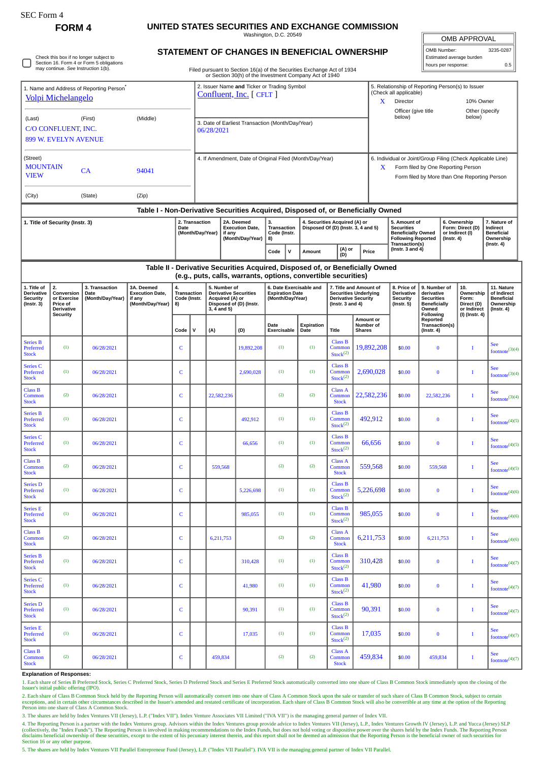## **FORM 4 UNITED STATES SECURITIES AND EXCHANGE COMMISSION**

Washington, D.C. 20549

| OMB APPROVAL             |           |  |  |  |  |  |  |  |
|--------------------------|-----------|--|--|--|--|--|--|--|
| OMB Number:              | 3235-0287 |  |  |  |  |  |  |  |
| Estimated average burden |           |  |  |  |  |  |  |  |

|  |  |  | STATEMENT OF CHANGES IN BENEFICIAL OWNERSHIP |  |
|--|--|--|----------------------------------------------|--|
|--|--|--|----------------------------------------------|--|

|                                                                                     | may continue. See Instruction 1(b).                                                                            | Check this box if no longer subject to<br>Section 16. Form 4 or Form 5 obligations |                                                                                  |                                         |                                                                                                                                   |                                         | Filed pursuant to Section 16(a) of the Securities Exchange Act of 1934                                                                          |                                                                      |                         |                                                                                                               |                                                  |                                                                                                                                                         |                                                                                |                                                                                 | hours per response:                                                | Estimated average burden                                                        | 0.5                                      |
|-------------------------------------------------------------------------------------|----------------------------------------------------------------------------------------------------------------|------------------------------------------------------------------------------------|----------------------------------------------------------------------------------|-----------------------------------------|-----------------------------------------------------------------------------------------------------------------------------------|-----------------------------------------|-------------------------------------------------------------------------------------------------------------------------------------------------|----------------------------------------------------------------------|-------------------------|---------------------------------------------------------------------------------------------------------------|--------------------------------------------------|---------------------------------------------------------------------------------------------------------------------------------------------------------|--------------------------------------------------------------------------------|---------------------------------------------------------------------------------|--------------------------------------------------------------------|---------------------------------------------------------------------------------|------------------------------------------|
| 1. Name and Address of Reporting Person <sup>®</sup><br>Volpi Michelangelo          |                                                                                                                |                                                                                    |                                                                                  |                                         | or Section 30(h) of the Investment Company Act of 1940<br>2. Issuer Name and Ticker or Trading Symbol<br>Confluent, Inc. [ CFLT ] |                                         |                                                                                                                                                 |                                                                      |                         |                                                                                                               |                                                  | X                                                                                                                                                       | (Check all applicable)<br>Director                                             |                                                                                 | 5. Relationship of Reporting Person(s) to Issuer<br>10% Owner      |                                                                                 |                                          |
| (Middle)<br>(Last)<br>(First)<br>C/O CONFLUENT, INC.<br><b>899 W. EVELYN AVENUE</b> |                                                                                                                |                                                                                    |                                                                                  |                                         | 3. Date of Earliest Transaction (Month/Day/Year)<br>06/28/2021                                                                    |                                         |                                                                                                                                                 |                                                                      |                         |                                                                                                               |                                                  | Officer (give title<br>Other (specify<br>below)<br>below)                                                                                               |                                                                                |                                                                                 |                                                                    |                                                                                 |                                          |
| (Street)<br><b>MOUNTAIN</b><br>CA<br>94041<br><b>VIEW</b>                           |                                                                                                                |                                                                                    |                                                                                  |                                         | 4. If Amendment, Date of Original Filed (Month/Day/Year)                                                                          |                                         |                                                                                                                                                 |                                                                      |                         |                                                                                                               |                                                  | 6. Individual or Joint/Group Filing (Check Applicable Line)<br>Form filed by One Reporting Person<br>X.<br>Form filed by More than One Reporting Person |                                                                                |                                                                                 |                                                                    |                                                                                 |                                          |
| (City)                                                                              |                                                                                                                | (State)                                                                            | (Zip)                                                                            |                                         |                                                                                                                                   |                                         |                                                                                                                                                 |                                                                      |                         |                                                                                                               |                                                  |                                                                                                                                                         |                                                                                |                                                                                 |                                                                    |                                                                                 |                                          |
|                                                                                     |                                                                                                                |                                                                                    | Table I - Non-Derivative Securities Acquired, Disposed of, or Beneficially Owned |                                         |                                                                                                                                   |                                         |                                                                                                                                                 |                                                                      |                         |                                                                                                               |                                                  |                                                                                                                                                         |                                                                                |                                                                                 |                                                                    |                                                                                 |                                          |
| 1. Title of Security (Instr. 3)<br>Date                                             |                                                                                                                |                                                                                    | 2. Transaction<br>(Month/Day/Year)                                               |                                         | 2A. Deemed<br><b>Execution Date,</b><br>if any<br>(Month/Day/Year)                                                                | 3.<br>Transaction<br>Code (Instr.<br>8) |                                                                                                                                                 | 4. Securities Acquired (A) or<br>Disposed Of (D) (Instr. 3, 4 and 5) |                         | 5. Amount of<br><b>Securities</b><br><b>Beneficially Owned</b><br><b>Following Reported</b><br>Transaction(s) |                                                  | 6. Ownership<br>Form: Direct (D)<br>or Indirect (I)<br>$($ Instr. 4 $)$                                                                                 | 7. Nature of<br>Indirect<br><b>Beneficial</b><br>Ownership<br>$($ Instr. 4 $)$ |                                                                                 |                                                                    |                                                                                 |                                          |
|                                                                                     |                                                                                                                |                                                                                    |                                                                                  |                                         |                                                                                                                                   |                                         |                                                                                                                                                 | Code                                                                 | v                       | Amount                                                                                                        | (A) or<br>(D)                                    | Price                                                                                                                                                   |                                                                                |                                                                                 | (Instr. $3$ and $4$ )                                              |                                                                                 |                                          |
|                                                                                     |                                                                                                                |                                                                                    |                                                                                  |                                         |                                                                                                                                   |                                         | Table II - Derivative Securities Acquired, Disposed of, or Beneficially Owned<br>(e.g., puts, calls, warrants, options, convertible securities) |                                                                      |                         |                                                                                                               |                                                  |                                                                                                                                                         |                                                                                |                                                                                 |                                                                    |                                                                                 |                                          |
| 1. Title of<br>Derivative<br>Security<br>$($ Instr. 3 $)$                           | 2.<br>3. Transaction<br>Conversion<br>Date<br>(Month/Day/Year)<br>or Exercise<br>Price of<br><b>Derivative</b> |                                                                                    | 3A. Deemed<br><b>Execution Date,</b><br>if any<br>(Month/Day/Year)               | 4.<br>Transaction<br>Code (Instr.<br>8) | 5. Number of<br><b>Derivative Securities</b><br>Acquired (A) or<br>Disposed of (D) (Instr.<br>3, 4 and 5)                         |                                         | <b>Expiration Date</b><br>(Month/Day/Year)                                                                                                      |                                                                      | 6. Date Exercisable and | 7. Title and Amount of<br><b>Securities Underlying</b><br><b>Derivative Security</b><br>(Instr. $3$ and $4$ ) |                                                  |                                                                                                                                                         | 8. Price of<br>Derivative<br><b>Security</b><br>$($ Instr. 5 $)$               | 9. Number of<br>derivative<br><b>Securities</b><br><b>Beneficially</b><br>Owned | 10.<br>Ownership<br>Form:<br>Direct (D)<br>or Indirect             | 11. Nature<br>of Indirect<br><b>Beneficial</b><br>Ownership<br>$($ Instr. 4 $)$ |                                          |
|                                                                                     | <b>Security</b>                                                                                                |                                                                                    |                                                                                  | Code                                    | V                                                                                                                                 | (A)                                     | (D)                                                                                                                                             | Date<br>Exercisable                                                  |                         | Expiration<br>Date                                                                                            | <b>Title</b>                                     | Amount or<br>Number of<br><b>Shares</b>                                                                                                                 |                                                                                |                                                                                 | <b>Following</b><br>Reported<br>Transaction(s)<br>$($ Instr. 4 $)$ | (I) (Instr. 4)                                                                  |                                          |
| <b>Series B</b><br>Preferred<br><b>Stock</b>                                        | (1)                                                                                                            | 06/28/2021                                                                         |                                                                                  | $\mathsf{C}$                            |                                                                                                                                   |                                         | 19,892,208                                                                                                                                      | (1)                                                                  |                         | (1)                                                                                                           | <b>Class B</b><br>Common<br>Stock <sup>(2)</sup> | 19,892,208                                                                                                                                              |                                                                                | \$0.00                                                                          | $\bf{0}$                                                           | I                                                                               | <b>See</b><br>footnote(3)(4)             |
| <b>Series C</b><br>Preferred<br><b>Stock</b>                                        | (1)                                                                                                            | 06/28/2021                                                                         |                                                                                  | $\mathsf{C}$                            |                                                                                                                                   |                                         | 2,690,028                                                                                                                                       | (1)                                                                  |                         | (1)                                                                                                           | <b>Class B</b><br>Common<br>Stock <sup>(2)</sup> | 2,690,028                                                                                                                                               |                                                                                | \$0.00                                                                          | $\bf{0}$                                                           | I                                                                               | <b>See</b><br>footnote <sup>(3)(4)</sup> |
| <b>Class B</b><br>Common<br><b>Stock</b>                                            | (2)                                                                                                            | 06/28/2021                                                                         |                                                                                  | $\mathsf{C}$                            |                                                                                                                                   | 22,582,236                              |                                                                                                                                                 | (2)                                                                  |                         | (2)                                                                                                           | <b>Class A</b><br>Common<br><b>Stock</b>         | 22,582,236                                                                                                                                              |                                                                                | \$0.00                                                                          | 22,582,236                                                         | I                                                                               | <b>See</b><br>footnote <sup>(3)(4)</sup> |
| <b>Series B</b><br>Preferred<br><b>Stock</b>                                        | (1)                                                                                                            | 06/28/2021                                                                         |                                                                                  | $\mathsf{C}$                            |                                                                                                                                   |                                         | 492,912                                                                                                                                         | (1)                                                                  |                         | (1)                                                                                                           | <b>Class B</b><br>Common<br>Stock <sup>(2)</sup> | 492,912                                                                                                                                                 |                                                                                | \$0.00                                                                          | $\mathbf{0}$                                                       | П                                                                               | <b>See</b><br>footnote(4)(5)             |
| <b>Series C</b><br>Preferred<br><b>Stock</b>                                        | (1)                                                                                                            | 06/28/2021                                                                         |                                                                                  | $\mathsf{C}$                            |                                                                                                                                   |                                         | 66,656                                                                                                                                          | (1)                                                                  |                         | (1)                                                                                                           | <b>Class B</b><br>Common<br>Stock <sup>(2)</sup> | 66,656                                                                                                                                                  |                                                                                | \$0.00                                                                          | $\bf{0}$                                                           | I                                                                               | <b>See</b><br>footnote <sup>(4)(5)</sup> |
| <b>Class B</b><br>Common<br><b>Stock</b>                                            | (2)                                                                                                            | 06/28/2021                                                                         |                                                                                  | $\mathbf C$                             |                                                                                                                                   | 559,568                                 |                                                                                                                                                 | (2)                                                                  |                         | (2)                                                                                                           | <b>Class A</b><br>Common<br><b>Stock</b>         | 559,568                                                                                                                                                 |                                                                                | \$0.00                                                                          | 559,568                                                            | П                                                                               | See<br>footnote(4)(5)                    |
| <b>Series D</b><br>Preferred<br><b>Stock</b>                                        | (1)                                                                                                            | 06/28/2021                                                                         |                                                                                  | $\mathsf{C}$                            |                                                                                                                                   |                                         | 5,226,698                                                                                                                                       | (1)                                                                  |                         | (1)                                                                                                           | <b>Class B</b><br>Common<br>Stock <sup>(2)</sup> | 5,226,698                                                                                                                                               |                                                                                | \$0.00                                                                          | $\bf{0}$                                                           | $\bf I$                                                                         | <b>See</b><br>footnote <sup>(4)(6)</sup> |
| <b>Series E</b><br>Preferred<br><b>Stock</b>                                        | (1)                                                                                                            | 06/28/2021                                                                         |                                                                                  | $\mathbf C$                             |                                                                                                                                   |                                         | 985,055                                                                                                                                         | (1)                                                                  |                         | (1)                                                                                                           | <b>Class B</b><br>Common<br>Stock <sup>(2)</sup> | 985,055                                                                                                                                                 |                                                                                | \$0.00                                                                          | $\bf{0}$                                                           | $\bf I$                                                                         | <b>See</b><br>footnote <sup>(4)(6)</sup> |
| <b>Class B</b><br>Common<br><b>Stock</b>                                            | (2)                                                                                                            | 06/28/2021                                                                         |                                                                                  | $\mathsf{C}$                            |                                                                                                                                   | 6.211.753                               |                                                                                                                                                 | (2)                                                                  |                         | (2)                                                                                                           | <b>Class A</b><br>Common<br><b>Stock</b>         | 6,211,753                                                                                                                                               |                                                                                | \$0.00                                                                          | 6,211,753                                                          | П                                                                               | <b>See</b><br>footnote $(4)(6)$          |
| <b>Series B</b><br>Preferred<br><b>Stock</b>                                        | (1)                                                                                                            | 06/28/2021                                                                         |                                                                                  | $\mathsf{C}$                            |                                                                                                                                   |                                         | 310,428                                                                                                                                         | (1)                                                                  |                         | (1)                                                                                                           | <b>Class B</b><br>Common<br>Stock <sup>(2)</sup> | 310,428                                                                                                                                                 |                                                                                | \$0.00                                                                          | $\bf{0}$                                                           | П                                                                               | <b>See</b><br>footnote $(4)(7)$          |
| <b>Series C</b><br>Preferred<br><b>Stock</b>                                        | (1)                                                                                                            | 06/28/2021                                                                         |                                                                                  | $\mathsf{C}$                            |                                                                                                                                   |                                         | 41,980                                                                                                                                          | (1)                                                                  |                         | (1)                                                                                                           | <b>Class B</b><br>Common<br>Stock <sup>(2)</sup> | 41,980                                                                                                                                                  |                                                                                | \$0.00                                                                          | $\bf{0}$                                                           | П                                                                               | See<br>footnote <sup>(4)(7)</sup>        |
| <b>Series D</b><br>Preferred<br><b>Stock</b>                                        | (1)                                                                                                            | 06/28/2021                                                                         |                                                                                  | $\mathsf{C}$                            |                                                                                                                                   |                                         | 90,391                                                                                                                                          | (1)                                                                  |                         | (1)                                                                                                           | <b>Class B</b><br>Common<br>Stock <sup>(2)</sup> | 90,391                                                                                                                                                  |                                                                                | \$0.00                                                                          | $\bf{0}$                                                           | $\bf I$                                                                         | <b>See</b><br>footnote <sup>(4)(7)</sup> |
| <b>Series E</b><br>Preferred<br><b>Stock</b>                                        | (1)                                                                                                            | 06/28/2021                                                                         |                                                                                  | $\mathsf{C}$                            |                                                                                                                                   |                                         | 17,035                                                                                                                                          | (1)                                                                  |                         | (1)                                                                                                           | <b>Class B</b><br>Common<br>Stock <sup>(2)</sup> | 17,035                                                                                                                                                  |                                                                                | \$0.00                                                                          | $\bf{0}$                                                           | $\bf I$                                                                         | <b>See</b><br>footnote(4)(7)             |
| <b>Class B</b><br>Common<br><b>Stock</b>                                            | (2)                                                                                                            | 06/28/2021                                                                         |                                                                                  | $\mathbf C$                             |                                                                                                                                   | 459,834                                 |                                                                                                                                                 | (2)                                                                  |                         | (2)                                                                                                           | <b>Class A</b><br>Common<br><b>Stock</b>         | 459,834                                                                                                                                                 |                                                                                | \$0.00                                                                          | 459,834                                                            | $\bf I$                                                                         | See<br>$\mbox{footnote}^{(4)(7)}$        |

## **Explanation of Responses:**

1. Each share of Series B Preferred Stock, Series C Preferred Stock, Series D Preferred Stock and Series E Preferred Stock automatically converted into one share of Class B Common Stock immediately upon the closing of the<br>

2. Each share of Class B Common Stock held by the Reporting Person will automatically convert into one share of Class A Common Stock upon the sale or transfer of such share of Class B Common Stock, subject to certain<br>excep

3. The shares are held by Index Ventures VII (Jersey), L.P. ("Index VII"). Index Venture Associates VII Limited ("IVA VII") is the managing general partner of Index VII.

4. The Reporting Person is a partner with the Index Ventures group. Advisors within the Index Ventures group provide advice to Index Ventures SVII (Jersey), L.P, Index Ventures Growth IV (Jersey), L.P. and Yucca (Jersey) S Section 16 or any other purpose.

5. The shares are held by Index Ventures VII Parallel Entrepreneur Fund (Jersey), L.P. ("Index VII Parallel"). IVA VII is the managing general partner of Index VII Parallel.